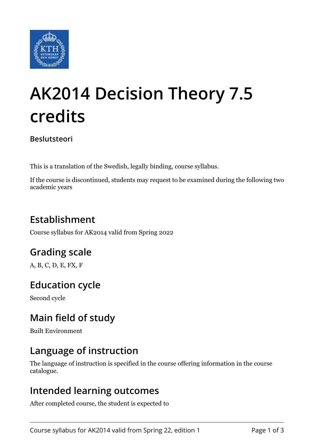

# **AK2014 Decision Theory 7.5 credits**

**Beslutsteori**

This is a translation of the Swedish, legally binding, course syllabus.

If the course is discontinued, students may request to be examined during the following two academic years

# **Establishment**

Course syllabus for AK2014 valid from Spring 2022

# **Grading scale**

A, B, C, D, E, FX, F

# **Education cycle**

Second cycle

## **Main field of study**

Built Environment

## **Language of instruction**

The language of instruction is specified in the course offering information in the course catalogue.

#### **Intended learning outcomes**

After completed course, the student is expected to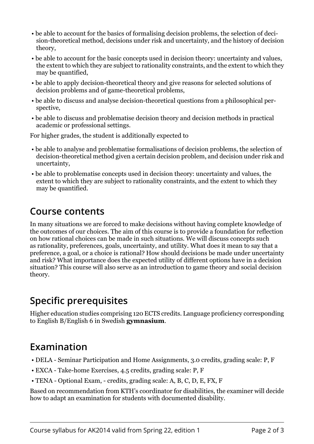- be able to account for the basics of formalising decision problems, the selection of decision-theoretical method, decisions under risk and uncertainty, and the history of decision theory,
- be able to account for the basic concepts used in decision theory: uncertainty and values, the extent to which they are subject to rationality constraints, and the extent to which they may be quantified,
- be able to apply decision-theoretical theory and give reasons for selected solutions of decision problems and of game-theoretical problems,
- be able to discuss and analyse decision-theoretical questions from a philosophical perspective,
- be able to discuss and problematise decision theory and decision methods in practical academic or professional settings.

For higher grades, the student is additionally expected to

- be able to analyse and problematise formalisations of decision problems, the selection of decision-theoretical method given a certain decision problem, and decision under risk and uncertainty,
- be able to problematise concepts used in decision theory: uncertainty and values, the extent to which they are subject to rationality constraints, and the extent to which they may be quantified.

#### **Course contents**

In many situations we are forced to make decisions without having complete knowledge of the outcomes of our choices. The aim of this course is to provide a foundation for reflection on how rational choices can be made in such situations. We will discuss concepts such as rationality, preferences, goals, uncertainty, and utility. What does it mean to say that a preference, a goal, or a choice is rational? How should decisions be made under uncertainty and risk? What importance does the expected utility of different options have in a decision situation? This course will also serve as an introduction to game theory and social decision theory.

## **Specific prerequisites**

Higher education studies comprising 120 ECTS credits. Language proficiency corresponding to English B/English 6 in Swedish **gymnasium**.

#### **Examination**

- DELA Seminar Participation and Home Assignments, 3.0 credits, grading scale: P, F
- EXCA Take-home Exercises, 4.5 credits, grading scale: P, F
- TENA Optional Exam, credits, grading scale: A, B, C, D, E, FX, F

Based on recommendation from KTH's coordinator for disabilities, the examiner will decide how to adapt an examination for students with documented disability.